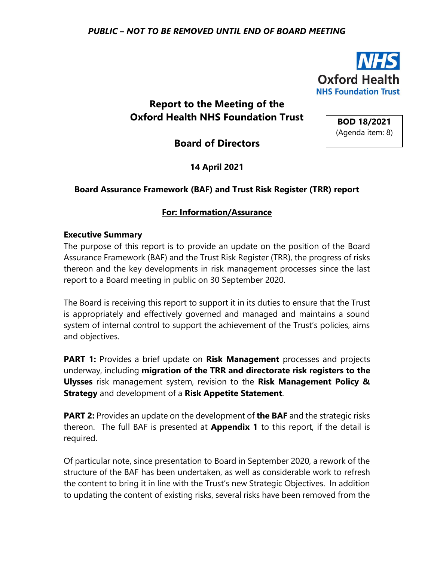

**BOD 18/2021** (Agenda item: 8)

# **Report to the Meeting of the Oxford Health NHS Foundation Trust**

**Board of Directors**

**14 April 2021**

#### **Board Assurance Framework (BAF) and Trust Risk Register (TRR) report**

#### **For: Information/Assurance**

#### **Executive Summary**

The purpose of this report is to provide an update on the position of the Board Assurance Framework (BAF) and the Trust Risk Register (TRR), the progress of risks thereon and the key developments in risk management processes since the last report to a Board meeting in public on 30 September 2020.

The Board is receiving this report to support it in its duties to ensure that the Trust is appropriately and effectively governed and managed and maintains a sound system of internal control to support the achievement of the Trust's policies, aims and objectives.

**PART 1:** Provides a brief update on **Risk Management** processes and projects underway, including **migration of the TRR and directorate risk registers to the Ulysses** risk management system, revision to the **Risk Management Policy & Strategy** and development of a **Risk Appetite Statement**.

**PART 2:** Provides an update on the development of **the BAF** and the strategic risks thereon. The full BAF is presented at **Appendix 1** to this report, if the detail is required.

Of particular note, since presentation to Board in September 2020, a rework of the structure of the BAF has been undertaken, as well as considerable work to refresh the content to bring it in line with the Trust's new Strategic Objectives. In addition to updating the content of existing risks, several risks have been removed from the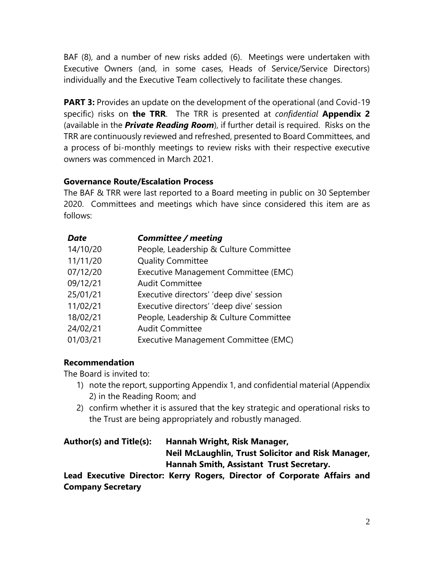BAF (8), and a number of new risks added (6). Meetings were undertaken with Executive Owners (and, in some cases, Heads of Service/Service Directors) individually and the Executive Team collectively to facilitate these changes.

**PART 3:** Provides an update on the development of the operational (and Covid-19 specific) risks on **the TRR**. The TRR is presented at *confidential* **Appendix 2**  (available in the *Private Reading Room*), if further detail is required. Risks on the TRR are continuously reviewed and refreshed, presented to Board Committees, and a process of bi-monthly meetings to review risks with their respective executive owners was commenced in March 2021.

# **Governance Route/Escalation Process**

The BAF & TRR were last reported to a Board meeting in public on 30 September 2020. Committees and meetings which have since considered this item are as follows:

| <b>Date</b> | <b>Committee / meeting</b>               |
|-------------|------------------------------------------|
| 14/10/20    | People, Leadership & Culture Committee   |
| 11/11/20    | <b>Quality Committee</b>                 |
| 07/12/20    | Executive Management Committee (EMC)     |
| 09/12/21    | <b>Audit Committee</b>                   |
| 25/01/21    | Executive directors' 'deep dive' session |
| 11/02/21    | Executive directors' 'deep dive' session |
| 18/02/21    | People, Leadership & Culture Committee   |
| 24/02/21    | <b>Audit Committee</b>                   |
| 01/03/21    | Executive Management Committee (EMC)     |

# **Recommendation**

The Board is invited to:

- 1) note the report, supporting Appendix 1, and confidential material (Appendix 2) in the Reading Room; and
- 2) confirm whether it is assured that the key strategic and operational risks to the Trust are being appropriately and robustly managed.

| Author(s) and Title(s): | Hannah Wright, Risk Manager,                                              |
|-------------------------|---------------------------------------------------------------------------|
|                         | Neil McLaughlin, Trust Solicitor and Risk Manager,                        |
|                         | <b>Hannah Smith, Assistant Trust Secretary.</b>                           |
|                         | Lead Eugenting Divertory Varm, Demore, Divertory of Corporate Affaire and |

**Lead Executive Director: Kerry Rogers, Director of Corporate Affairs and Company Secretary**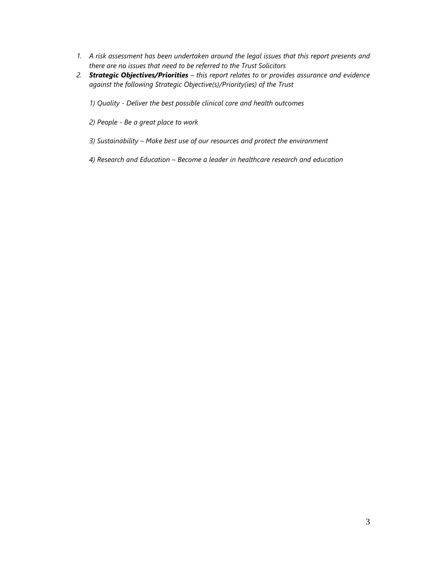- *1. A risk assessment has been undertaken around the legal issues that this report presents and there are no issues that need to be referred to the Trust Solicitors*
- *2. Strategic Objectives/Priorities – this report relates to or provides assurance and evidence against the following Strategic Objective(s)/Priority(ies) of the Trust* 
	- *1) Quality - Deliver the best possible clinical care and health outcomes*
	- *2) People - Be a great place to work*
	- *3) Sustainability – Make best use of our resources and protect the environment*
	- *4) Research and Education – Become a leader in healthcare research and education*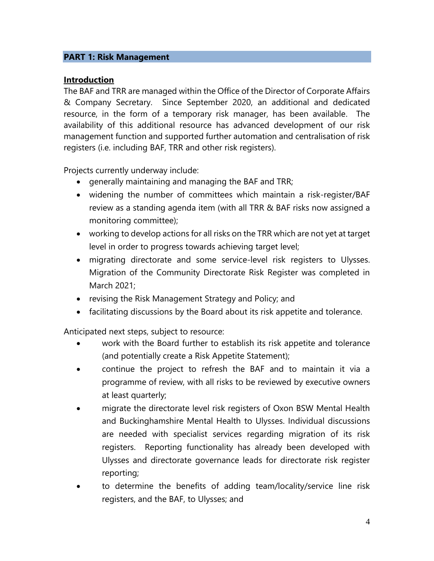#### **PART 1: Risk Management**

#### **Introduction**

The BAF and TRR are managed within the Office of the Director of Corporate Affairs & Company Secretary. Since September 2020, an additional and dedicated resource, in the form of a temporary risk manager, has been available. The availability of this additional resource has advanced development of our risk management function and supported further automation and centralisation of risk registers (i.e. including BAF, TRR and other risk registers).

Projects currently underway include:

- generally maintaining and managing the BAF and TRR;
- widening the number of committees which maintain a risk-register/BAF review as a standing agenda item (with all TRR & BAF risks now assigned a monitoring committee);
- working to develop actions for all risks on the TRR which are not yet at target level in order to progress towards achieving target level;
- migrating directorate and some service-level risk registers to Ulysses. Migration of the Community Directorate Risk Register was completed in March 2021;
- revising the Risk Management Strategy and Policy; and
- facilitating discussions by the Board about its risk appetite and tolerance.

Anticipated next steps, subject to resource:

- work with the Board further to establish its risk appetite and tolerance (and potentially create a Risk Appetite Statement);
- continue the project to refresh the BAF and to maintain it via a programme of review, with all risks to be reviewed by executive owners at least quarterly;
- migrate the directorate level risk registers of Oxon BSW Mental Health and Buckinghamshire Mental Health to Ulysses. Individual discussions are needed with specialist services regarding migration of its risk registers. Reporting functionality has already been developed with Ulysses and directorate governance leads for directorate risk register reporting;
- to determine the benefits of adding team/locality/service line risk registers, and the BAF, to Ulysses; and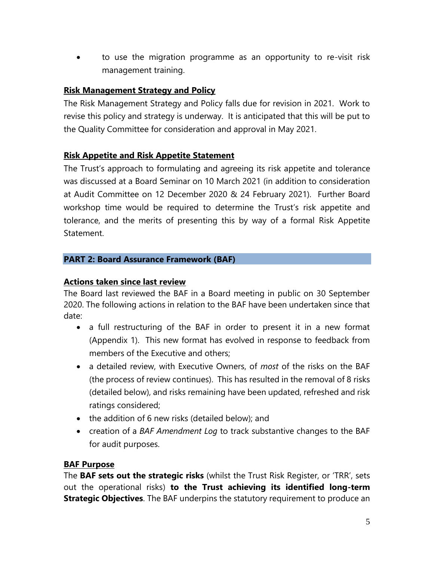• to use the migration programme as an opportunity to re-visit risk management training.

### **Risk Management Strategy and Policy**

The Risk Management Strategy and Policy falls due for revision in 2021. Work to revise this policy and strategy is underway. It is anticipated that this will be put to the Quality Committee for consideration and approval in May 2021.

#### **Risk Appetite and Risk Appetite Statement**

The Trust's approach to formulating and agreeing its risk appetite and tolerance was discussed at a Board Seminar on 10 March 2021 (in addition to consideration at Audit Committee on 12 December 2020 & 24 February 2021). Further Board workshop time would be required to determine the Trust's risk appetite and tolerance, and the merits of presenting this by way of a formal Risk Appetite Statement.

#### **PART 2: Board Assurance Framework (BAF)**

#### **Actions taken since last review**

The Board last reviewed the BAF in a Board meeting in public on 30 September 2020. The following actions in relation to the BAF have been undertaken since that date:

- a full restructuring of the BAF in order to present it in a new format (Appendix 1). This new format has evolved in response to feedback from members of the Executive and others;
- a detailed review, with Executive Owners, of *most* of the risks on the BAF (the process of review continues). This has resulted in the removal of 8 risks (detailed below), and risks remaining have been updated, refreshed and risk ratings considered;
- the addition of 6 new risks (detailed below); and
- creation of a *BAF Amendment Log* to track substantive changes to the BAF for audit purposes.

# **BAF Purpose**

The **BAF sets out the strategic risks** (whilst the Trust Risk Register, or 'TRR', sets out the operational risks) **to the Trust achieving its identified long-term Strategic Objectives**. The BAF underpins the statutory requirement to produce an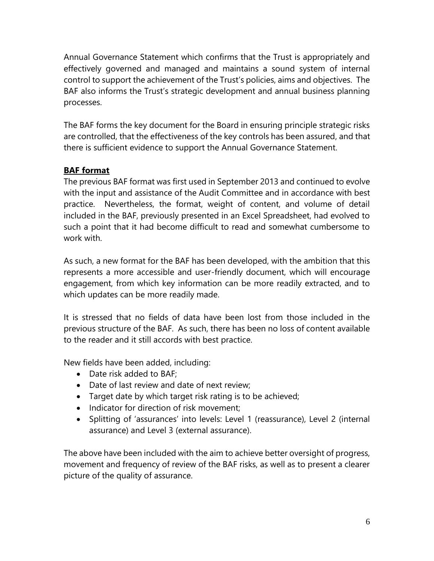Annual Governance Statement which confirms that the Trust is appropriately and effectively governed and managed and maintains a sound system of internal control to support the achievement of the Trust's policies, aims and objectives. The BAF also informs the Trust's strategic development and annual business planning processes.

The BAF forms the key document for the Board in ensuring principle strategic risks are controlled, that the effectiveness of the key controls has been assured, and that there is sufficient evidence to support the Annual Governance Statement.

# **BAF format**

The previous BAF format was first used in September 2013 and continued to evolve with the input and assistance of the Audit Committee and in accordance with best practice. Nevertheless, the format, weight of content, and volume of detail included in the BAF, previously presented in an Excel Spreadsheet, had evolved to such a point that it had become difficult to read and somewhat cumbersome to work with.

As such, a new format for the BAF has been developed, with the ambition that this represents a more accessible and user-friendly document, which will encourage engagement, from which key information can be more readily extracted, and to which updates can be more readily made.

It is stressed that no fields of data have been lost from those included in the previous structure of the BAF. As such, there has been no loss of content available to the reader and it still accords with best practice.

New fields have been added, including:

- Date risk added to BAF;
- Date of last review and date of next review;
- Target date by which target risk rating is to be achieved;
- Indicator for direction of risk movement;
- Splitting of 'assurances' into levels: Level 1 (reassurance), Level 2 (internal assurance) and Level 3 (external assurance).

The above have been included with the aim to achieve better oversight of progress, movement and frequency of review of the BAF risks, as well as to present a clearer picture of the quality of assurance.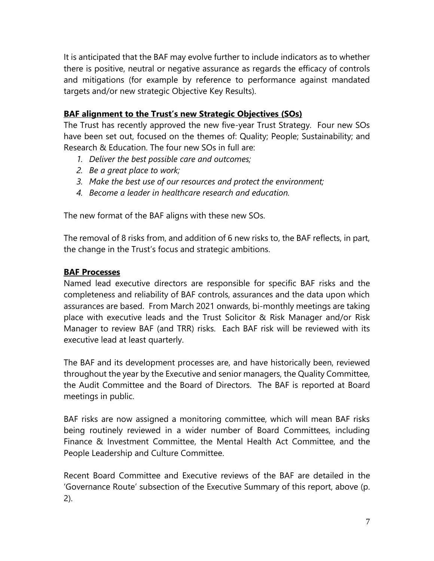It is anticipated that the BAF may evolve further to include indicators as to whether there is positive, neutral or negative assurance as regards the efficacy of controls and mitigations (for example by reference to performance against mandated targets and/or new strategic Objective Key Results).

### **BAF alignment to the Trust's new Strategic Objectives (SOs)**

The Trust has recently approved the new five-year Trust Strategy. Four new SOs have been set out, focused on the themes of: Quality; People; Sustainability; and Research & Education. The four new SOs in full are:

- *1. Deliver the best possible care and outcomes;*
- *2. Be a great place to work;*
- *3. Make the best use of our resources and protect the environment;*
- *4. Become a leader in healthcare research and education.*

The new format of the BAF aligns with these new SOs.

The removal of 8 risks from, and addition of 6 new risks to, the BAF reflects, in part, the change in the Trust's focus and strategic ambitions.

#### **BAF Processes**

Named lead executive directors are responsible for specific BAF risks and the completeness and reliability of BAF controls, assurances and the data upon which assurances are based. From March 2021 onwards, bi-monthly meetings are taking place with executive leads and the Trust Solicitor & Risk Manager and/or Risk Manager to review BAF (and TRR) risks. Each BAF risk will be reviewed with its executive lead at least quarterly.

The BAF and its development processes are, and have historically been, reviewed throughout the year by the Executive and senior managers, the Quality Committee, the Audit Committee and the Board of Directors. The BAF is reported at Board meetings in public.

BAF risks are now assigned a monitoring committee, which will mean BAF risks being routinely reviewed in a wider number of Board Committees, including Finance & Investment Committee, the Mental Health Act Committee, and the People Leadership and Culture Committee.

Recent Board Committee and Executive reviews of the BAF are detailed in the 'Governance Route' subsection of the Executive Summary of this report, above (p. 2).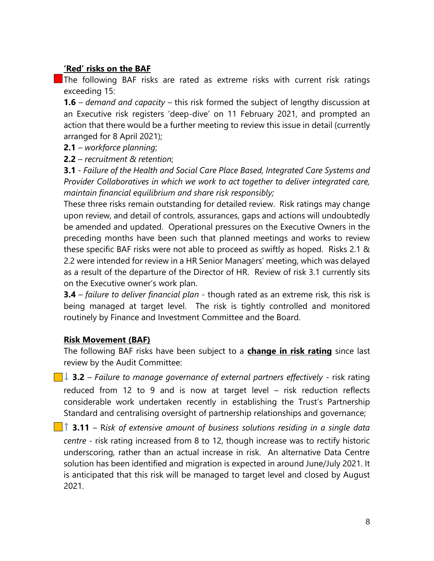### **'Red' risks on the BAF**

The following BAF risks are rated as extreme risks with current risk ratings exceeding 15:

**1.6** – *demand and capacity* – this risk formed the subject of lengthy discussion at an Executive risk registers 'deep-dive' on 11 February 2021, and prompted an action that there would be a further meeting to review this issue in detail (currently arranged for 8 April 2021);

**2.1** – *workforce planning*;

**2.2** – *recruitment & retention*;

**3.1** - *Failure of the Health and Social Care Place Based, Integrated Care Systems and Provider Collaboratives in which we work to act together to deliver integrated care, maintain financial equilibrium and share risk responsibly;*

These three risks remain outstanding for detailed review. Risk ratings may change upon review, and detail of controls, assurances, gaps and actions will undoubtedly be amended and updated. Operational pressures on the Executive Owners in the preceding months have been such that planned meetings and works to review these specific BAF risks were not able to proceed as swiftly as hoped. Risks 2.1 & 2.2 were intended for review in a HR Senior Managers' meeting, which was delayed as a result of the departure of the Director of HR. Review of risk 3.1 currently sits on the Executive owner's work plan.

**3.4** – *failure to deliver financial plan* - though rated as an extreme risk, this risk is being managed at target level. The risk is tightly controlled and monitored routinely by Finance and Investment Committee and the Board.

# **Risk Movement (BAF)**

The following BAF risks have been subject to a **change in risk rating** since last review by the Audit Committee:

- **↓ 3.2** *Failure to manage governance of external partners effectively* risk rating reduced from 12 to 9 and is now at target level – risk reduction reflects considerable work undertaken recently in establishing the Trust's Partnership Standard and centralising oversight of partnership relationships and governance;
- **↑ 3.11** R*isk of extensive amount of business solutions residing in a single data centre* - risk rating increased from 8 to 12, though increase was to rectify historic underscoring, rather than an actual increase in risk. An alternative Data Centre solution has been identified and migration is expected in around June/July 2021. It is anticipated that this risk will be managed to target level and closed by August 2021.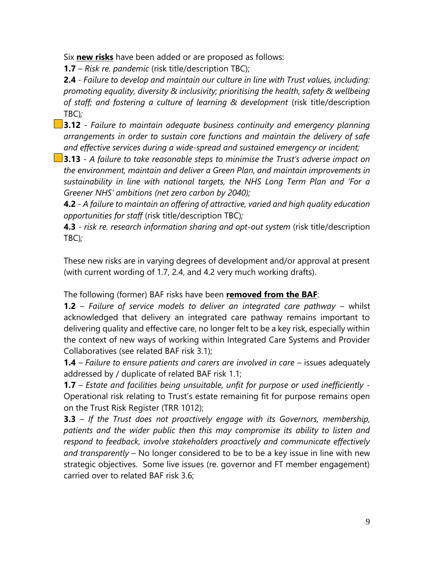Six **new risks** have been added or are proposed as follows:

**1.7** – *Risk re. pandemic* (risk title/description TBC);

**2.4** - *Failure to develop and maintain our culture in line with Trust values, including: promoting equality, diversity & inclusivity; prioritising the health, safety & wellbeing of staff; and fostering a culture of learning & development* (risk title/description TBC)*;*

**3.12** - *Failure to maintain adequate business continuity and emergency planning arrangements in order to sustain core functions and maintain the delivery of safe and effective services during a wide-spread and sustained emergency or incident;*

**3.13** *- A failure to take reasonable steps to minimise the Trust's adverse impact on the environment, maintain and deliver a Green Plan, and maintain improvements in sustainability in line with national targets, the NHS Long Term Plan and 'For a Greener NHS' ambitions (net zero carbon by 2040);*

**4.2** *- A failure to maintain an offering of attractive, varied and high quality education opportunities for staff* (risk title/description TBC)*;*

**4.3** *- risk re. research information sharing and opt-out system (risk title/description* TBC)*;*

These new risks are in varying degrees of development and/or approval at present (with current wording of 1.7, 2.4, and 4.2 very much working drafts).

The following (former) BAF risks have been **removed from the BAF**:

**1.2** – *Failure of service models to deliver an integrated care pathway –* whilst acknowledged that delivery an integrated care pathway remains important to delivering quality and effective care, no longer felt to be a key risk, especially within the context of new ways of working within Integrated Care Systems and Provider Collaboratives (see related BAF risk 3.1);

**1.4** *– Failure to ensure patients and carers are involved in care* – issues adequately addressed by / duplicate of related BAF risk 1.1;

**1.7** – *Estate and facilities being unsuitable, unfit for purpose or used inefficiently -*  Operational risk relating to Trust's estate remaining fit for purpose remains open on the Trust Risk Register (TRR 1012);

**3.3** – *If the Trust does not proactively engage with its Governors, membership, patients and the wider public then this may compromise its ability to listen and respond to feedback, involve stakeholders proactively and communicate effectively and transparently –* No longer considered to be to be a key issue in line with new strategic objectives. Some live issues (re. governor and FT member engagement) carried over to related BAF risk 3.6;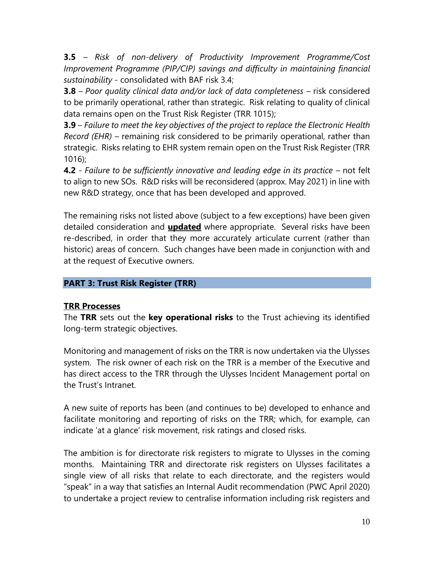**3.5** – *Risk of non-delivery of Productivity Improvement Programme/Cost Improvement Programme (PIP/CIP) savings and difficulty in maintaining financial sustainability -* consolidated with BAF risk 3.4;

**3.8** – *Poor quality clinical data and/or lack of data completeness* – risk considered to be primarily operational, rather than strategic. Risk relating to quality of clinical data remains open on the Trust Risk Register (TRR 1015);

**3.9** – *Failure to meet the key objectives of the project to replace the Electronic Health Record (EHR) –* remaining risk considered to be primarily operational, rather than strategic. Risks relating to EHR system remain open on the Trust Risk Register (TRR 1016);

**4.2** *- Failure to be sufficiently innovative and leading edge in its practice –* not felt to align to new SOs. R&D risks will be reconsidered (approx. May 2021) in line with new R&D strategy, once that has been developed and approved.

The remaining risks not listed above (subject to a few exceptions) have been given detailed consideration and **updated** where appropriate. Several risks have been re-described, in order that they more accurately articulate current (rather than historic) areas of concern. Such changes have been made in conjunction with and at the request of Executive owners.

#### **PART 3: Trust Risk Register (TRR)**

#### **TRR Processes**

The **TRR** sets out the **key operational risks** to the Trust achieving its identified long-term strategic objectives.

Monitoring and management of risks on the TRR is now undertaken via the Ulysses system. The risk owner of each risk on the TRR is a member of the Executive and has direct access to the TRR through the Ulysses Incident Management portal on the Trust's Intranet.

A new suite of reports has been (and continues to be) developed to enhance and facilitate monitoring and reporting of risks on the TRR; which, for example, can indicate 'at a glance' risk movement, risk ratings and closed risks.

The ambition is for directorate risk registers to migrate to Ulysses in the coming months. Maintaining TRR and directorate risk registers on Ulysses facilitates a single view of all risks that relate to each directorate, and the registers would "speak" in a way that satisfies an Internal Audit recommendation (PWC April 2020) to undertake a project review to centralise information including risk registers and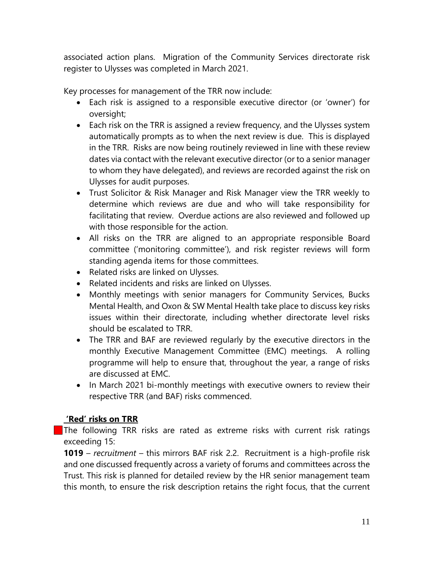associated action plans. Migration of the Community Services directorate risk register to Ulysses was completed in March 2021.

Key processes for management of the TRR now include:

- Each risk is assigned to a responsible executive director (or 'owner') for oversight;
- Each risk on the TRR is assigned a review frequency, and the Ulysses system automatically prompts as to when the next review is due. This is displayed in the TRR. Risks are now being routinely reviewed in line with these review dates via contact with the relevant executive director (or to a senior manager to whom they have delegated), and reviews are recorded against the risk on Ulysses for audit purposes.
- Trust Solicitor & Risk Manager and Risk Manager view the TRR weekly to determine which reviews are due and who will take responsibility for facilitating that review. Overdue actions are also reviewed and followed up with those responsible for the action.
- All risks on the TRR are aligned to an appropriate responsible Board committee ('monitoring committee'), and risk register reviews will form standing agenda items for those committees.
- Related risks are linked on Ulysses.
- Related incidents and risks are linked on Ulysses.
- Monthly meetings with senior managers for Community Services, Bucks Mental Health, and Oxon & SW Mental Health take place to discuss key risks issues within their directorate, including whether directorate level risks should be escalated to TRR.
- The TRR and BAF are reviewed regularly by the executive directors in the monthly Executive Management Committee (EMC) meetings. A rolling programme will help to ensure that, throughout the year, a range of risks are discussed at EMC.
- In March 2021 bi-monthly meetings with executive owners to review their respective TRR (and BAF) risks commenced.

# **'Red' risks on TRR**

The following TRR risks are rated as extreme risks with current risk ratings exceeding 15:

**1019** – *recruitment* – this mirrors BAF risk 2.2. Recruitment is a high-profile risk and one discussed frequently across a variety of forums and committees across the Trust. This risk is planned for detailed review by the HR senior management team this month, to ensure the risk description retains the right focus, that the current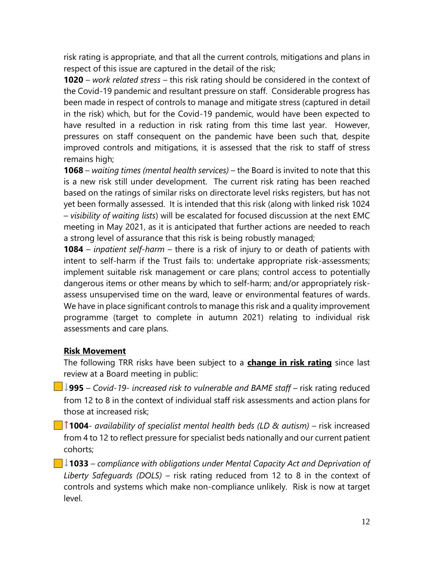risk rating is appropriate, and that all the current controls, mitigations and plans in respect of this issue are captured in the detail of the risk;

**1020** – *work related stress* – this risk rating should be considered in the context of the Covid-19 pandemic and resultant pressure on staff. Considerable progress has been made in respect of controls to manage and mitigate stress (captured in detail in the risk) which, but for the Covid-19 pandemic, would have been expected to have resulted in a reduction in risk rating from this time last year. However, pressures on staff consequent on the pandemic have been such that, despite improved controls and mitigations, it is assessed that the risk to staff of stress remains high;

**1068** – *waiting times (mental health services)* – the Board is invited to note that this is a new risk still under development. The current risk rating has been reached based on the ratings of similar risks on directorate level risks registers, but has not yet been formally assessed. It is intended that this risk (along with linked risk 1024 – *visibility of waiting lists*) will be escalated for focused discussion at the next EMC meeting in May 2021, as it is anticipated that further actions are needed to reach a strong level of assurance that this risk is being robustly managed;

**1084** – *inpatient self-harm* – there is a risk of injury to or death of patients with intent to self-harm if the Trust fails to: undertake appropriate risk-assessments; implement suitable risk management or care plans; control access to potentially dangerous items or other means by which to self-harm; and/or appropriately riskassess unsupervised time on the ward, leave or environmental features of wards. We have in place significant controls to manage this risk and a quality improvement programme (target to complete in autumn 2021) relating to individual risk assessments and care plans.

# **Risk Movement**

The following TRR risks have been subject to a **change in risk rating** since last review at a Board meeting in public:

**↓995** – *Covid-19- increased risk to vulnerable and BAME staff* – risk rating reduced from 12 to 8 in the context of individual staff risk assessments and action plans for those at increased risk;

**↑1004**- *availability of specialist mental health beds (LD & autism)* – risk increased from 4 to 12 to reflect pressure for specialist beds nationally and our current patient cohorts;

**↓1033** – *compliance with obligations under Mental Capacity Act and Deprivation of Liberty Safeguards (DOLS)* – risk rating reduced from 12 to 8 in the context of controls and systems which make non-compliance unlikely. Risk is now at target level.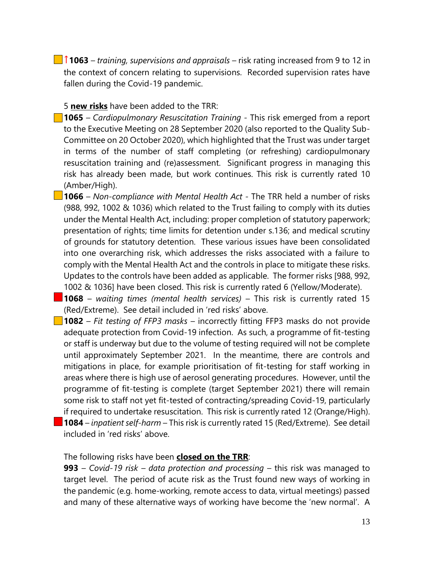**↑1063** – *training, supervisions and appraisals* – risk rating increased from 9 to 12 in the context of concern relating to supervisions. Recorded supervision rates have fallen during the Covid-19 pandemic.

#### 5 **new risks** have been added to the TRR:

- **1065** *– Cardiopulmonary Resuscitation Training -* This risk emerged from a report to the Executive Meeting on 28 September 2020 (also reported to the Quality Sub-Committee on 20 October 2020), which highlighted that the Trust was under target in terms of the number of staff completing (or refreshing) cardiopulmonary resuscitation training and (re)assessment. Significant progress in managing this risk has already been made, but work continues. This risk is currently rated 10 (Amber/High).
- **1066** *– Non-compliance with Mental Health Act -* The TRR held a number of risks (988, 992, 1002 & 1036) which related to the Trust failing to comply with its duties under the Mental Health Act, including: proper completion of statutory paperwork; presentation of rights; time limits for detention under s.136; and medical scrutiny of grounds for statutory detention. These various issues have been consolidated into one overarching risk, which addresses the risks associated with a failure to comply with the Mental Health Act and the controls in place to mitigate these risks. Updates to the controls have been added as applicable. The former risks [988, 992, 1002 & 1036] have been closed. This risk is currently rated 6 (Yellow/Moderate).
- **1068**  *waiting times (mental health services)* This risk is currently rated 15 (Red/Extreme). See detail included in 'red risks' above.
- **1082** *Fit testing of FFP3 masks* incorrectly fitting FFP3 masks do not provide adequate protection from Covid-19 infection. As such, a programme of fit-testing or staff is underway but due to the volume of testing required will not be complete until approximately September 2021. In the meantime, there are controls and mitigations in place, for example prioritisation of fit-testing for staff working in areas where there is high use of aerosol generating procedures. However, until the programme of fit-testing is complete (target September 2021) there will remain some risk to staff not yet fit-tested of contracting/spreading Covid-19, particularly if required to undertake resuscitation. This risk is currently rated 12 (Orange/High). **1084** – *inpatient self-harm* – This risk is currently rated 15 (Red/Extreme). See detail included in 'red risks' above.

#### The following risks have been **closed on the TRR**:

**993** *– Covid-19 risk – data protection and processing –* this risk was managed to target level. The period of acute risk as the Trust found new ways of working in the pandemic (e.g. home-working, remote access to data, virtual meetings) passed and many of these alternative ways of working have become the 'new normal'. A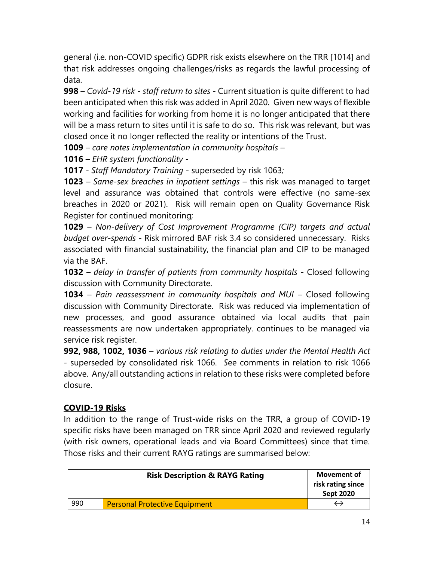general (i.e. non-COVID specific) GDPR risk exists elsewhere on the TRR [1014] and that risk addresses ongoing challenges/risks as regards the lawful processing of data.

**998** – *Covid-19 risk - staff return to sites* - Current situation is quite different to had been anticipated when this risk was added in April 2020. Given new ways of flexible working and facilities for working from home it is no longer anticipated that there will be a mass return to sites until it is safe to do so. This risk was relevant, but was closed once it no longer reflected the reality or intentions of the Trust.

**1009** – *care notes implementation in community hospitals* –

**1016** – *EHR system functionality* -

**1017** - *Staff Mandatory Training* - superseded by risk 1063*;* 

**1023** – *Same-sex breaches in inpatient settings* – this risk was managed to target level and assurance was obtained that controls were effective (no same-sex breaches in 2020 or 2021). Risk will remain open on Quality Governance Risk Register for continued monitoring;

**1029** – *Non-delivery of Cost Improvement Programme (CIP) targets and actual budget over-spends* - Risk mirrored BAF risk 3.4 so considered unnecessary. Risks associated with financial sustainability, the financial plan and CIP to be managed via the BAF.

**1032** *– delay in transfer of patients from community hospitals -* Closed following discussion with Community Directorate.

**1034** – *Pain reassessment in community hospitals and MUI* – Closed following discussion with Community Directorate. Risk was reduced via implementation of new processes, and good assurance obtained via local audits that pain reassessments are now undertaken appropriately. continues to be managed via service risk register.

**992, 988, 1002, 1036** *– various risk relating to duties under the Mental Health Act -* superseded by consolidated risk 1066. *S*ee comments in relation to risk 1066 above. Any/all outstanding actions in relation to these risks were completed before closure.

# **COVID-19 Risks**

In addition to the range of Trust-wide risks on the TRR, a group of COVID-19 specific risks have been managed on TRR since April 2020 and reviewed regularly (with risk owners, operational leads and via Board Committees) since that time. Those risks and their current RAYG ratings are summarised below:

|     | <b>Risk Description &amp; RAYG Rating</b> | <b>Movement of</b><br>risk rating since<br><b>Sept 2020</b> |
|-----|-------------------------------------------|-------------------------------------------------------------|
| 990 | <b>Personal Protective Equipment</b>      |                                                             |